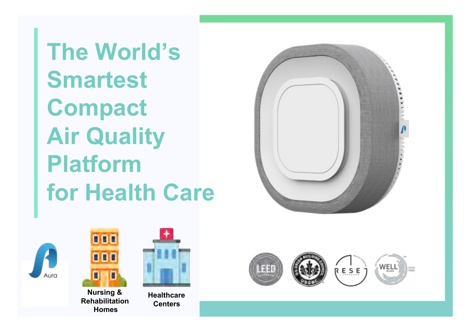**The World's Smartest Compact Air Quality Platform for Health Care** 







**Nursing & Rehabilitation Homes**



**Healthcare Centers**

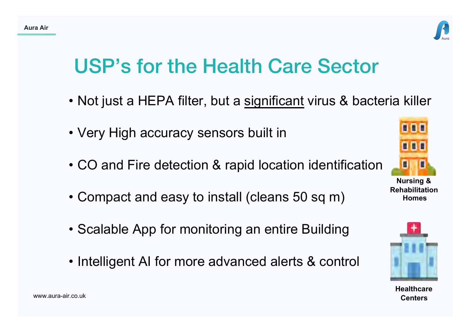

# USP's for the Health Care Sector

- Not just a HEPA filter, but a significant virus & bacteria killer
- Very High accuracy sensors built in
- CO and Fire detection & rapid location identification
- Compact and easy to install (cleans 50 sq m)
- Scalable App for monitoring an entire Building
- Intelligent AI for more advanced alerts & control



**Nursing & Rehabilitation Homes**



**Healthcare Centers**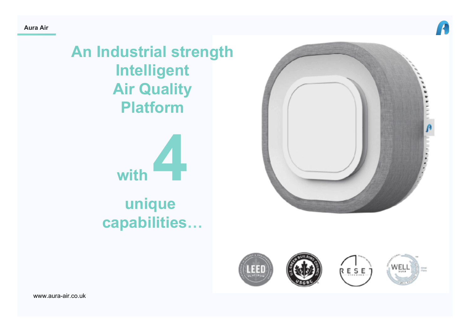

**An Industrial strength Intelligent Air Quality Platform** 



# **unique capabilities…**

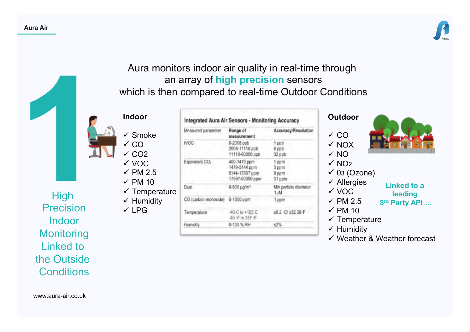

## Aura monitors indoor air quality in real-time through an array of **high precision** sensors which is then compared to real-time Outdoor Conditions

Integrated Aura Air Sensors - Monitoring Accuracy

#### **Indoor**

- ü VOC  $\times$  PM 2.5
- $\times$  PM 10
- $\checkmark$  Temperature  $\checkmark$  Humidity
- $VLPG$

| High              |  |
|-------------------|--|
| <b>Precision</b>  |  |
| Indoor            |  |
| <b>Monitoring</b> |  |
| <b>Linked to</b>  |  |
| the Outside       |  |
| Conditions        |  |

|                            |                                                               | $\checkmark$ Smoke                     | Measured parameter                                                 | Range of<br>measurement                         | Accuracy/Resolution                                                | $\checkmark$ CO                                |                                      |
|----------------------------|---------------------------------------------------------------|----------------------------------------|--------------------------------------------------------------------|-------------------------------------------------|--------------------------------------------------------------------|------------------------------------------------|--------------------------------------|
|                            |                                                               | $\sqrt{C}$<br>$\times$ CO <sub>2</sub> | <b>IVOC</b>                                                        | 0-2008 ppb<br>2008-11110 ppb<br>11110-60000 ppb | 1 ppb<br>6 ppb<br>32 ppb                                           | $\checkmark$ NOX<br>$\sqrt{NQ}$                |                                      |
|                            | $\checkmark$ VOC<br>$\checkmark$ PM 2.5<br>$\checkmark$ PM 10 | Equivalent CO2                         | 400-1479 ppm<br>1479-5144 ppm<br>5144-17597 ppm<br>17597-60000 ppm | 1 ppm<br>3 ppm<br>9 ppm<br>31 ppm               | $\sqrt{NQ_2}$<br>$\checkmark$ 03 (Ozone)<br>$\checkmark$ Allergies |                                                |                                      |
| <b>High</b>                |                                                               | $\checkmark$ Temperature               | Dust.                                                              | 0-500 µg/m <sup>3</sup>                         | Min particle diameter<br>1 LIM                                     | √ VOC                                          | <b>Linked to a</b><br><b>leading</b> |
| ecision                    |                                                               | $\checkmark$ Humidity                  | CO (carbon monoxide)                                               | 0-1000 ppm                                      | ppm                                                                | $\checkmark$ PM 2.5                            | 3rd Party API                        |
| ndoor                      |                                                               | $\checkmark$ LPG                       | Temperature                                                        | 40 C to +125 C<br>40千位257千                      | ±0.2 · C/ ±32.36-F                                                 | $\checkmark$ PM 10<br>$\checkmark$ Temperature |                                      |
| المستحدث والمناقص والمناقص |                                                               |                                        | Humidity                                                           | 0-100 % RH                                      | ±2%                                                                | $\checkmark$ Humidity                          |                                      |

### **Outdoor**



- $\checkmark$  NO<sub>2</sub>  $\checkmark$  03 (Ozone)
- $\checkmark$  Allergies
- v voc
- **Linked to a**
- **leading**
- 
- $\checkmark$  PM 2.5  $\times$  PM 10
- $\checkmark$  Temperature
- $\checkmark$  Humidity
- $\checkmark$  Weather & Weather forecast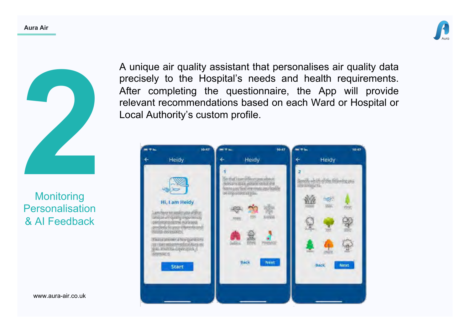



**Monitoring** Personalisation & AI Feedback

A unique air quality assistant that personalises air quality data precisely to the Hospital's needs and health requirements. After completing the questionnaire, the App will provide relevant recommendations based on each Ward or Hospital or Local Authority's custom profile.

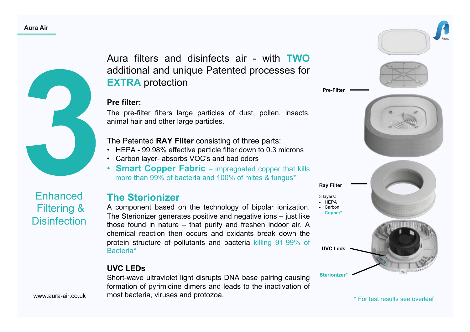

Enhanced

Filtering &

**Disinfection** 

Aura filters and disinfects air - with **TWO**  additional and unique Patented processes for **EXTRA** protection

#### **Pre filter:**

The pre-filter filters large particles of dust, pollen, insects, animal hair and other large particles.

The Patented **RAY Filter** consisting of three parts:

- HEPA 99.98% effective particle filter down to 0.3 microns
- Carbon layer- absorbs VOC's and bad odors
- **Smart Copper Fabric**  impregnated copper that kills more than 99% of bacteria and 100% of mites & fungus\*

## **The Sterionizer**

A component based on the technology of bipolar ionization. The Sterionizer generates positive and negative ions – just like those found in nature – that purify and freshen indoor air. A chemical reaction then occurs and oxidants break down the protein structure of pollutants and bacteria killing 91-99% of Bacteria\*

#### **UVC LEDs**

Short-wave ultraviolet light disrupts DNA base pairing causing formation of pyrimidine dimers and leads to the inactivation of most bacteria, viruses and protozoa.



\* For test results see overleaf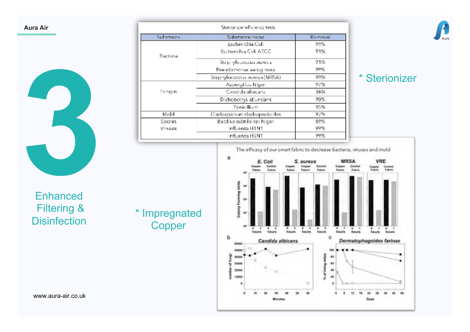

| Sterionizer efficiency tests |                              |         |  |  |  |  |
|------------------------------|------------------------------|---------|--|--|--|--|
| Substance                    | Substance name               | Removal |  |  |  |  |
|                              | Escherichia Coli             | 99%     |  |  |  |  |
| Bacteria                     | Escherichia Coli ATCC        | 91%     |  |  |  |  |
|                              | Staphylococcus aureus        | 91%     |  |  |  |  |
|                              | Pseudomonas aerug nosa       | 99%     |  |  |  |  |
|                              | Staphylococcus aureus (MRSA) | 99%     |  |  |  |  |
|                              | Aspergillus Niger            | 97%     |  |  |  |  |
| <b>Fungus</b>                | Candida albicans             | 36%     |  |  |  |  |
|                              | Dichobotrys abundans         | 90%     |  |  |  |  |
|                              | <b>Denicillium</b>           | 95%     |  |  |  |  |
| Mold                         | Cladosporium dadosporibides. | 97%     |  |  |  |  |
| Spores                       | Bacillus subtilis var Niger  | 89%     |  |  |  |  |
| Viruses                      | Influenza H1N1               | 99%     |  |  |  |  |
|                              | Influenza H5N1               | 99%     |  |  |  |  |

**Copper** 



## \* Sterionizer



**Enhanced** Filtering & Filtering  $\alpha$  \* Impregnated<br>Disinfection Cenner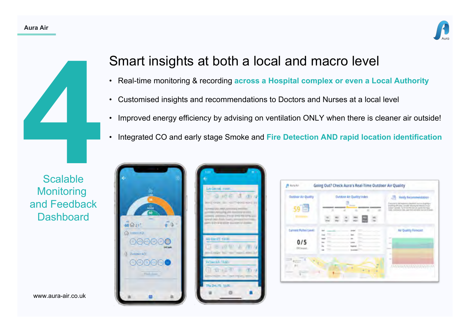#### **Aura Air**





## **Monitoring** and Feedback **Dashboard**

Smart insights at both a local and macro level

- Real-time monitoring & recording **across a Hospital complex or even a Local Authority**
- Customised insights and recommendations to Doctors and Nurses at a local level
- Improved energy efficiency by advising on ventilation ONLY when there is cleaner air outside!
- Integrated CO and early stage Smoke and **Fire Detection AND rapid location identification**



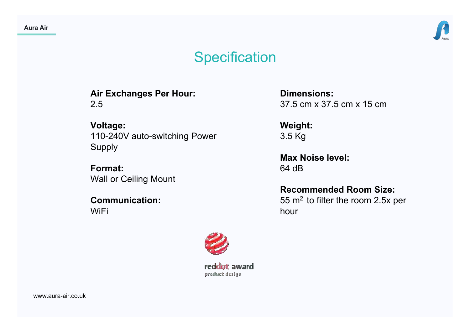

## **Specification**

**Air Exchanges Per Hour:** 2.5

**Voltage:**  110-240V auto-switching Power Supply

**Format:**  Wall or Ceiling Mount

**Communication:**  WiFi

**Dimensions:**  37.5 cm x 37.5 cm x 15 cm

**Weight:**  3.5 Kg

**Max Noise level:**  64 dB

**Recommended Room Size:**  55 m2 to filter the room 2.5x per hour



reddof award product design